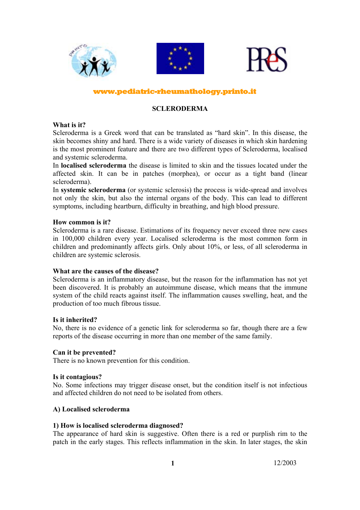

## www.pediatric-rheumathology.printo.it

## **SCLERODERMA**

### **What is it?**

Scleroderma is a Greek word that can be translated as "hard skin". In this disease, the skin becomes shiny and hard. There is a wide variety of diseases in which skin hardening is the most prominent feature and there are two different types of Scleroderma, localised and systemic scleroderma.

In **localised scleroderma** the disease is limited to skin and the tissues located under the affected skin. It can be in patches (morphea), or occur as a tight band (linear scleroderma).

In **systemic scleroderma** (or systemic sclerosis) the process is wide-spread and involves not only the skin, but also the internal organs of the body. This can lead to different symptoms, including heartburn, difficulty in breathing, and high blood pressure.

## **How common is it?**

Scleroderma is a rare disease. Estimations of its frequency never exceed three new cases in 100,000 children every year. Localised scleroderma is the most common form in children and predominantly affects girls. Only about 10%, or less, of all scleroderma in children are systemic sclerosis.

#### **What are the causes of the disease?**

Scleroderma is an inflammatory disease, but the reason for the inflammation has not yet been discovered. It is probably an autoimmune disease, which means that the immune system of the child reacts against itself. The inflammation causes swelling, heat, and the production of too much fibrous tissue.

#### **Is it inherited?**

No, there is no evidence of a genetic link for scleroderma so far, though there are a few reports of the disease occurring in more than one member of the same family.

#### **Can it be prevented?**

There is no known prevention for this condition.

#### **Is it contagious?**

No. Some infections may trigger disease onset, but the condition itself is not infectious and affected children do not need to be isolated from others.

## **A) Localised scleroderma**

#### **1) How is localised scleroderma diagnosed?**

The appearance of hard skin is suggestive. Often there is a red or purplish rim to the patch in the early stages. This reflects inflammation in the skin. In later stages, the skin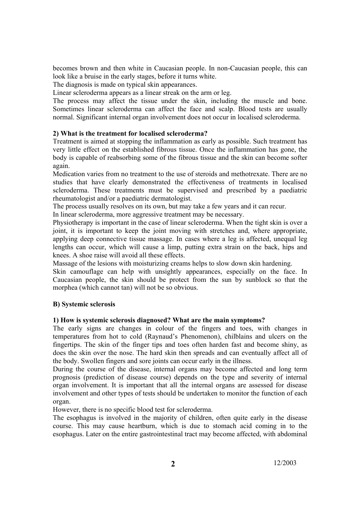becomes brown and then white in Caucasian people. In non-Caucasian people, this can look like a bruise in the early stages, before it turns white.

The diagnosis is made on typical skin appearances.

Linear scleroderma appears as a linear streak on the arm or leg.

The process may affect the tissue under the skin, including the muscle and bone. Sometimes linear scleroderma can affect the face and scalp. Blood tests are usually normal. Significant internal organ involvement does not occur in localised scleroderma.

# **2) What is the treatment for localised scleroderma?**

Treatment is aimed at stopping the inflammation as early as possible. Such treatment has very little effect on the established fibrous tissue. Once the inflammation has gone, the body is capable of reabsorbing some of the fibrous tissue and the skin can become softer again.

Medication varies from no treatment to the use of steroids and methotrexate. There are no studies that have clearly demonstrated the effectiveness of treatments in localised scleroderma. These treatments must be supervised and prescribed by a paediatric rheumatologist and/or a paediatric dermatologist.

The process usually resolves on its own, but may take a few years and it can recur.

In linear scleroderma, more aggressive treatment may be necessary.

Physiotherapy is important in the case of linear scleroderma. When the tight skin is over a joint, it is important to keep the joint moving with stretches and, where appropriate, applying deep connective tissue massage. In cases where a leg is affected, unequal leg lengths can occur, which will cause a limp, putting extra strain on the back, hips and knees. A shoe raise will avoid all these effects.

Massage of the lesions with moisturizing creams helps to slow down skin hardening.

Skin camouflage can help with unsightly appearances, especially on the face. In Caucasian people, the skin should be protect from the sun by sunblock so that the morphea (which cannot tan) will not be so obvious.

## **B) Systemic sclerosis**

## **1) How is systemic sclerosis diagnosed? What are the main symptoms?**

The early signs are changes in colour of the fingers and toes, with changes in temperatures from hot to cold (Raynaud's Phenomenon), chilblains and ulcers on the fingertips. The skin of the finger tips and toes often harden fast and become shiny, as does the skin over the nose. The hard skin then spreads and can eventually affect all of the body. Swollen fingers and sore joints can occur early in the illness.

During the course of the disease, internal organs may become affected and long term prognosis (prediction of disease course) depends on the type and severity of internal organ involvement. It is important that all the internal organs are assessed for disease involvement and other types of tests should be undertaken to monitor the function of each organ.

However, there is no specific blood test for scleroderma.

The esophagus is involved in the majority of children, often quite early in the disease course. This may cause heartburn, which is due to stomach acid coming in to the esophagus. Later on the entire gastrointestinal tract may become affected, with abdominal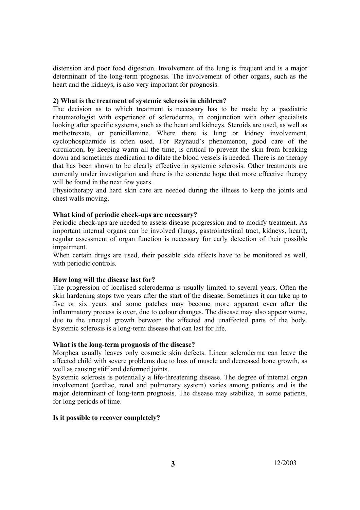distension and poor food digestion. Involvement of the lung is frequent and is a major determinant of the long-term prognosis. The involvement of other organs, such as the heart and the kidneys, is also very important for prognosis.

## **2) What is the treatment of systemic sclerosis in children?**

The decision as to which treatment is necessary has to be made by a paediatric rheumatologist with experience of scleroderma, in conjunction with other specialists looking after specific systems, such as the heart and kidneys. Steroids are used, as well as methotrexate, or penicillamine. Where there is lung or kidney involvement, cyclophosphamide is often used. For Raynaud's phenomenon, good care of the circulation, by keeping warm all the time, is critical to prevent the skin from breaking down and sometimes medication to dilate the blood vessels is needed. There is no therapy that has been shown to be clearly effective in systemic sclerosis. Other treatments are currently under investigation and there is the concrete hope that more effective therapy will be found in the next few years.

Physiotherapy and hard skin care are needed during the illness to keep the joints and chest walls moving.

### **What kind of periodic check-ups are necessary?**

Periodic check-ups are needed to assess disease progression and to modify treatment. As important internal organs can be involved (lungs, gastrointestinal tract, kidneys, heart), regular assessment of organ function is necessary for early detection of their possible impairment.

When certain drugs are used, their possible side effects have to be monitored as well, with periodic controls.

#### **How long will the disease last for?**

The progression of localised scleroderma is usually limited to several years. Often the skin hardening stops two years after the start of the disease. Sometimes it can take up to five or six years and some patches may become more apparent even after the inflammatory process is over, due to colour changes. The disease may also appear worse, due to the unequal growth between the affected and unaffected parts of the body. Systemic sclerosis is a long-term disease that can last for life.

#### **What is the long-term prognosis of the disease?**

Morphea usually leaves only cosmetic skin defects. Linear scleroderma can leave the affected child with severe problems due to loss of muscle and decreased bone growth, as well as causing stiff and deformed joints.

Systemic sclerosis is potentially a life-threatening disease. The degree of internal organ involvement (cardiac, renal and pulmonary system) varies among patients and is the major determinant of long-term prognosis. The disease may stabilize, in some patients, for long periods of time.

#### **Is it possible to recover completely?**